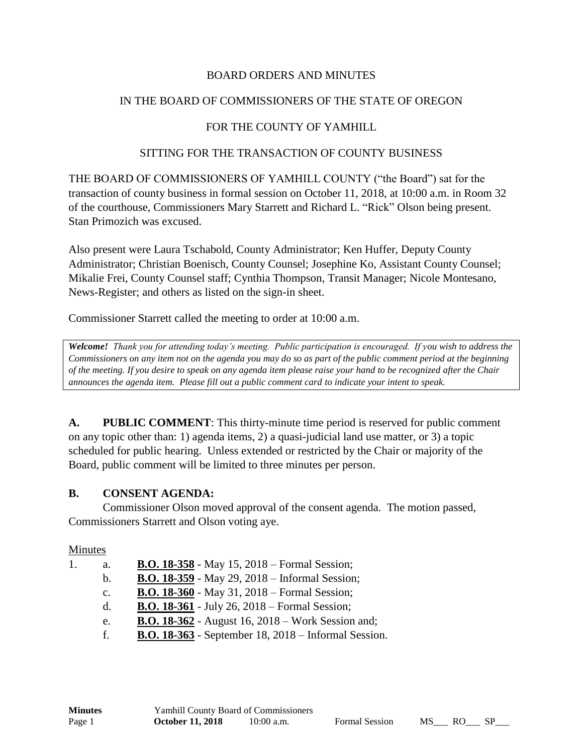### BOARD ORDERS AND MINUTES

### IN THE BOARD OF COMMISSIONERS OF THE STATE OF OREGON

## FOR THE COUNTY OF YAMHILL

#### SITTING FOR THE TRANSACTION OF COUNTY BUSINESS

THE BOARD OF COMMISSIONERS OF YAMHILL COUNTY ("the Board") sat for the transaction of county business in formal session on October 11, 2018, at 10:00 a.m. in Room 32 of the courthouse, Commissioners Mary Starrett and Richard L. "Rick" Olson being present. Stan Primozich was excused.

Also present were Laura Tschabold, County Administrator; Ken Huffer, Deputy County Administrator; Christian Boenisch, County Counsel; Josephine Ko, Assistant County Counsel; Mikalie Frei, County Counsel staff; Cynthia Thompson, Transit Manager; Nicole Montesano, News-Register; and others as listed on the sign-in sheet.

Commissioner Starrett called the meeting to order at 10:00 a.m.

*Welcome! Thank you for attending today's meeting. Public participation is encouraged. If you wish to address the Commissioners on any item not on the agenda you may do so as part of the public comment period at the beginning of the meeting. If you desire to speak on any agenda item please raise your hand to be recognized after the Chair announces the agenda item. Please fill out a public comment card to indicate your intent to speak.*

**A. PUBLIC COMMENT**: This thirty-minute time period is reserved for public comment on any topic other than: 1) agenda items, 2) a quasi-judicial land use matter, or 3) a topic scheduled for public hearing. Unless extended or restricted by the Chair or majority of the Board, public comment will be limited to three minutes per person.

### **B. CONSENT AGENDA:**

Commissioner Olson moved approval of the consent agenda. The motion passed, Commissioners Starrett and Olson voting aye.

### Minutes

- 1. a. **B.O. 18-358** May 15, 2018 Formal Session;
	- b. **B.O. 18-359** May 29, 2018 Informal Session;
	- c. **B.O. 18-360** May 31, 2018 Formal Session;
	- d. **B.O. 18-361** July 26, 2018 Formal Session;
	- e. **B.O. 18-362** August 16, 2018 Work Session and;
	- f. **B.O. 18-363** September 18, 2018 Informal Session.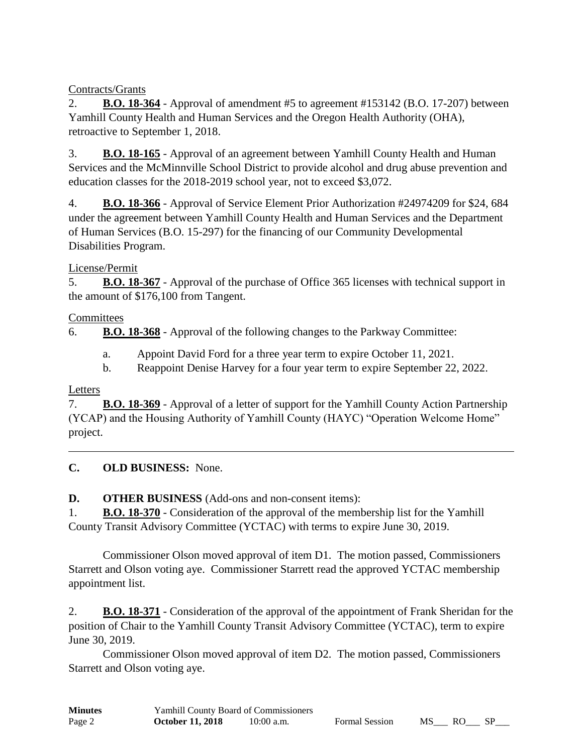Contracts/Grants

2. **B.O. 18-364** - Approval of amendment #5 to agreement #153142 (B.O. 17-207) between Yamhill County Health and Human Services and the Oregon Health Authority (OHA), retroactive to September 1, 2018.

3. **B.O. 18-165** - Approval of an agreement between Yamhill County Health and Human Services and the McMinnville School District to provide alcohol and drug abuse prevention and education classes for the 2018-2019 school year, not to exceed \$3,072.

4. **B.O. 18-366** - Approval of Service Element Prior Authorization #24974209 for \$24, 684 under the agreement between Yamhill County Health and Human Services and the Department of Human Services (B.O. 15-297) for the financing of our Community Developmental Disabilities Program.

License/Permit

5. **B.O. 18-367** - Approval of the purchase of Office 365 licenses with technical support in the amount of \$176,100 from Tangent.

# **Committees**

6. **B.O. 18-368** - Approval of the following changes to the Parkway Committee:

- a. Appoint David Ford for a three year term to expire October 11, 2021.
- b. Reappoint Denise Harvey for a four year term to expire September 22, 2022.

# Letters

7. **B.O. 18-369** - Approval of a letter of support for the Yamhill County Action Partnership (YCAP) and the Housing Authority of Yamhill County (HAYC) "Operation Welcome Home" project.

# **C. OLD BUSINESS:** None.

**D. OTHER BUSINESS** (Add-ons and non-consent items):

1. **B.O. 18-370** - Consideration of the approval of the membership list for the Yamhill County Transit Advisory Committee (YCTAC) with terms to expire June 30, 2019.

Commissioner Olson moved approval of item D1. The motion passed, Commissioners Starrett and Olson voting aye. Commissioner Starrett read the approved YCTAC membership appointment list.

2. **B.O. 18-371** - Consideration of the approval of the appointment of Frank Sheridan for the position of Chair to the Yamhill County Transit Advisory Committee (YCTAC), term to expire June 30, 2019.

Commissioner Olson moved approval of item D2. The motion passed, Commissioners Starrett and Olson voting aye.

| <b>Minutes</b> | <b>Yamhill County Board of Commissioners</b> |              |                       |     |      |  |
|----------------|----------------------------------------------|--------------|-----------------------|-----|------|--|
| Page 2         | <b>October 11, 2018</b>                      | $10:00$ a.m. | <b>Formal Session</b> | MS. | – RO |  |